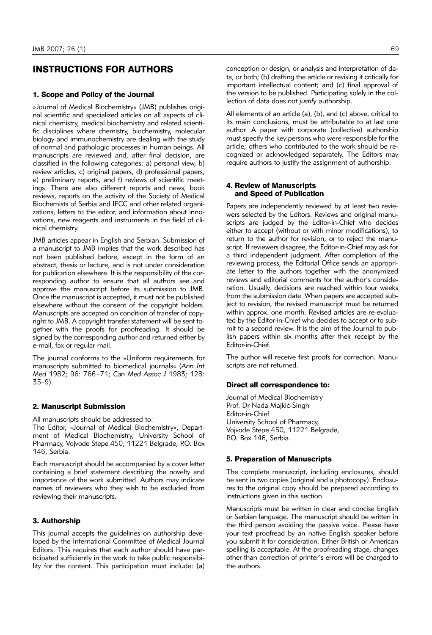# INSTRUCTIONS FOR AUTHORS

### 1. Scope and Policy of the Journal

»Journal of Medical Biochemistry« (JMB) publishes original scientific and specialized articles on all aspects of clinical chemistry, medical biochemistry and related scientific disciplines where chemistry, biochemistry, molecular biology and immunochemistry are dealing with the study of normal and pathologic processes in human beings. All manuscripts are reviewed and, after final decision, are classified in the following categories: a) personal view, b) review articles, c) original papers, d) professional papers, e) preliminary reports, and f) reviews of scientific meetings. There are also different reports and news, book reviews, reports on the activity of the Society of Medical Biochemists of Serbia and IFCC and other related organizations, letters to the editor, and information about innovations, new reagents and instruments in the field of clinical chemistry.

JMB articles appear in English and Serbian. Submission of a manuscript to JMB implies that the work described has not been published before, except in the form of an abstract, thesis or lecture, and is not under consideration for publication elsewhere. It is the responsibility of the corresponding author to ensure that all authors see and approve the manuscript before its submission to JMB. Once the manuscript is accepted, it must not be published elsewhere without the consent of the copyright holders. Manuscripts are accepted on condition of transfer of copyright to JMB. A copyright transfer statement will be sent together with the proofs for proofreading. It should be signed by the corresponding author and returned either by e-mail, fax or regular mail.

The journal conforms to the »Uniform requirements for manuscripts submitted to biomedical journals« (*Ann Int Med* 1982; 96: 766–71; *Can Med Assoc J* 1983; 128: 35–9).

#### 2. Manuscript Submission

All manuscripts should be addressed to:

The Editor, »Journal of Medical Biochemistry«, Department of Medical Biochemistry, University School of Pharmacy, Vojvode Stepe 450, 11221 Belgrade, P.O. Box 146, Serbia.

Each manuscript should be accompanied by a cover letter containing a brief statement describing the novelty and importance of the work submitted. Authors may indicate names of reviewers who they wish to be excluded from reviewing their manuscripts.

### 3. Authorship

This journal accepts the guidelines on authorship developed by the International Committee of Medical Journal Editors. This requires that each author should have participated sufficiently in the work to take public responsibility for the content. This participation must include: (a) conception or design, or analysis and interpretation of data, or both; (b) drafting the article or revising it critically for important intellectual content; and (c) final approval of the version to be published. Participating solely in the collection of data does *not justify* authorship.

All elements of an article (a), (b), and (c) above, critical to its main conclusions, must be attributable to at last one author. A paper with corporate (collective) authorship must specify the key persons who were responsible for the article; others who contributed to the work should be recognized or acknowledged separately. The Editors may require authors to justify the assignment of authorship.

#### 4. Review of Manuscripts and Speed of Publication

Papers are independently reviewed by at least two reviewers selected by the Editors. Reviews and original manuscripts are judged by the Editor-in-Chief who decides either to accept (without or with minor modifications), to return to the author for revision, or to reject the manuscript. If reviewers disagree, the Editor-in-Chief may ask for a third independent judgment. After completion of the reviewing process, the Editorial Office sends an appropriate letter to the authors together with the anonymized reviews and editorial comments for the author's consideration. Usually, decisions are reached within four weeks from the submission date. When papers are accepted subject to revision, the revised manuscript must be returned within approx. one month. Revised articles are re-evaluated by the Editor-in-Chief who decides to accept or to submit to a second review. It is the aim of the Journal to publish papers within six months after their receipt by the Editor-in-Chief.

The author will receive first proofs for correction. Manuscripts are not returned.

#### Direct all correspondence to:

Journal of Medical Biochemistry Prof. Dr Nada Majkić-Singh Editor-in-Chief University School of Pharmacy, Vojvode Stepe 450, 11221 Belgrade, P.O. Box 146, Serbia.

#### 5. Preparation of Manuscripts

The complete manuscript, including enclosures, should be sent in two copies (original and a photocopy). Enclosures to the original copy should be prepared according to instructions given in this section.

Manuscripts must be written in clear and concise English or Serbian language. The manuscript should be written in the third person avoiding the passive voice. Please have your text proofread by an native English speaker before you submit it for consideration. Either British or American spelling is acceptable. At the proofreading stage, changes other than correction of printer's errors will be charged to the authors.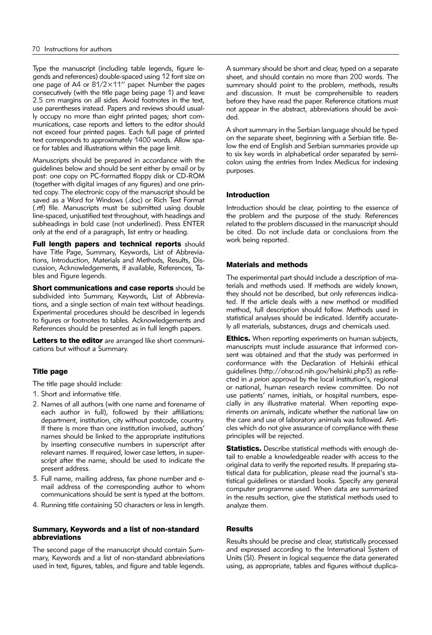Type the manuscript (including table legends, figure legends and references) double-spaced using 12 font size on one page of A4 or 81/2×11'' paper. Number the pages consecutively (with the title page being page 1) and leave 2.5 cm margins on all sides. Avoid footnotes in the text, use parentheses instead. Papers and reviews should usually occupy no more than eight printed pages; short communications, case reports and letters to the editor should not exceed four printed pages. Each full page of printed text corresponds to approximately 1400 words. Allow space for tables and illustrations within the page limit.

Manuscripts should be prepared in accordance with the guidelines below and should be sent either by email or by post: one copy on PC-formatted floppy disk or CD-ROM (together with digital images of any figures) and one printed copy. The electronic copy of the manuscript should be saved as a Word for Windows (.doc) or Rich Text Format (.rtf) file. Manuscripts must be submitted using double line-spaced, unjustified text throughout, with headings and subheadings in bold case (not underlined). Press ENTER only at the end of a paragraph, list entry or heading.

Full length papers and technical reports should have Title Page, Summary, Keywords, List of Abbreviations, Introduction, Materials and Methods, Results, Discussion, Acknowledgements, if available, References, Tables and Figure legends.

**Short communications and case reports** should be subdivided into Summary, Keywords, List of Abbreviations, and a single section of main text without headings. Experimental procedures should be described in legends to figures or footnotes to tables. Acknowledgements and References should be presented as in full length papers.

Letters to the editor are arranged like short communications but without a Summary.

# Title page

The title page should include:

- 1. Short and informative title.
- 2. Names of all authors (with one name and forename of each author in full), followed by their affiliations: department, institution, city without postcode, country. If there is more than one institution involved, authors' names should be linked to the appropriate institutions by inserting consecutive numbers in superscript after relevant names. If required, lower case letters, in superscript after the name, should be used to indicate the present address.
- 3. Full name, mailing address, fax phone number and email address of the corresponding author to whom communications should be sent is typed at the bottom.
- 4. Running title containing 50 characters or less in length.

### Summary, Keywords and a list of non-standard abbreviations

The second page of the manuscript should contain Summary, Keywords and a list of non-standard abbreviations used in text, figures, tables, and figure and table legends. A summary should be short and clear, typed on a separate sheet, and should contain no more than 200 words. The summary should point to the problem, methods, results and discussion. It must be comprehensible to readers before they have read the paper. Reference citations must not appear in the abstract, abbreviations should be avoided.

A short summary in the Serbian language should be typed on the separate sheet, beginning with a Serbian title. Below the end of English and Serbian summaries provide up to six key words in alphabetical order separated by semicolon using the entries from Index Medicus for indexing purposes.

# Introduction

Introduction should be clear, pointing to the essence of the problem and the purpose of the study. References related to the problem discussed in the manuscript should be cited. Do not include data or conclusions from the work being reported.

# Materials and methods

The experimental part should include a description of materials and methods used. If methods are widely known, they should not be described, but only references indicated. If the article deals with a new method or modified method, full description should follow. Methods used in statistical analyses should be indicated. Identify accurately all materials, substances, drugs and chemicals used.

**Ethics.** When reporting experiments on human subjects, manuscripts must include assurance that informed consent was obtained and that the study was performed in conformance with the Declaration of Helsinki ethical guidelines (http://ohsr.od.nih.gov/helsinki.php3) as reflected in *a priori* approval by the local institution's, regional or national, human research review committee. Do not use patients' names, initials, or hospital numbers, especially in any illustrative material. When reporting experiments on animals, indicate whether the national law on the care and use of laboratory animals was followed. Articles which do not give assurance of compliance with these principles will be rejected.

**Statistics.** Describe statistical methods with enough detail to enable a knowledgeable reader with access to the original data to verify the reported results. If preparing statistical data for publication, please read the journal's statistical guidelines or standard books. Specify any general computer programme used. When data are summarized in the results section, give the statistical methods used to analyze them.

# Results

Results should be precise and clear, statistically processed and expressed according to the International System of Units (SI). Present in logical sequence the data generated using, as appropriate, tables and figures without duplica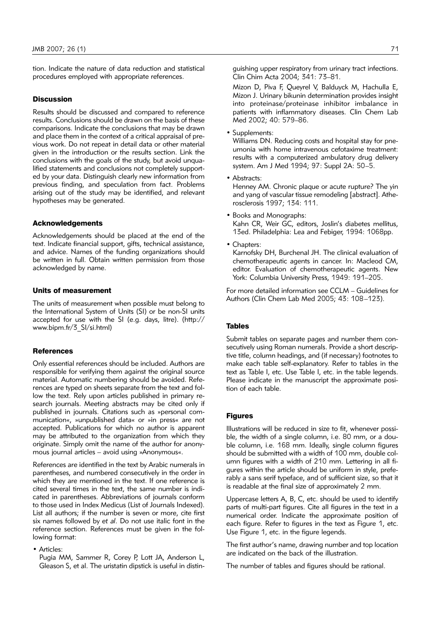tion. Indicate the nature of data reduction and statistical procedures employed with appropriate references.

#### **Discussion**

Results should be discussed and compared to reference results. Conclusions should be drawn on the basis of these comparisons. Indicate the conclusions that may be drawn and place them in the context of a critical appraisal of previous work. Do not repeat in detail data or other material given in the introduction or the results section. Link the conclusions with the goals of the study, but avoid unqualified statements and conclusions not completely supported by your data. Distinguish clearly new information from previous finding, and speculation from fact. Problems arising out of the study may be identified, and relevant hypotheses may be generated.

### Acknowledgements

Acknowledgements should be placed at the end of the text. Indicate financial support, gifts, technical assistance, and advice. Names of the funding organizations should be written in full. Obtain written permission from those acknowledged by name.

#### Units of measurement

The units of measurement when possible must belong to the International System of Units (SI) or be non-SI units accepted for use with the SI (e.g. days, litre). (http:// www.bipm.fr/3\_SI/si.html)

#### **References**

Only essential references should be included. Authors are responsible for verifying them against the original source material. Automatic numbering should be avoided. References are typed on sheets separate from the text and follow the text. Rely upon articles published in primary research journals. Meeting abstracts may be cited only if published in journals. Citations such as »personal communication«, »unpublished data« or »in press« are not accepted. Publications for which no author is apparent may be attributed to the organization from which they originate. Simply omit the name of the author for anonymous journal articles – avoid using »Anonymous«.

References are identified in the text by Arabic numerals in parentheses, and numbered consecutively in the order in which they are mentioned in the text. If one reference is cited several times in the text, the same number is indicated in parentheses. Abbreviations of journals conform to those used in Index Medicus (List of Journals Indexed). List all authors; if the number is seven or more, cite first six names followed by *et al*. Do not use italic font in the reference section. References must be given in the following format:

• Articles:

Pugia MM, Sammer R, Corey P, Lott JA, Anderson L, Gleason S, et al. The uristatin dipstick is useful in distinguishing upper respiratory from urinary tract infections. Clin Chim Acta 2004; 341: 73–81.

Mizon D, Piva F, Queyrel V, Balduyck M, Hachulla E, Mizon J. Urinary bikunin determination provides insight into proteinase/proteinase inhibitor imbalance in patients with inflammatory diseases. Clin Chem Lab Med 2002; 40: 579–86.

• Supplements:

Williams DN. Reducing costs and hospital stay for pneumonia with home intravenous cefotaxime treatment: results with a computerized ambulatory drug delivery system. Am J Med 1994; 97: Suppl 2A: 50–5.

• Abstracts:

Henney AM. Chronic plaque or acute rupture? The yin and yang of vascular tissue remodeling [abstract]. Atherosclerosis 1997; 134: 111.

- Books and Monographs: Kahn CR, Weir GC, editors, Joslin's diabetes mellitus, 13ed. Philadelphia: Lea and Febiger, 1994: 1068pp.
- Chapters:

Karnofsky DH, Burchenal JH. The clinical evaluation of chemotherapeutic agents in cancer. In: Macleod CM, editor. Evaluation of chemotherapeutic agents. New York: Columbia University Press, 1949: 191–205.

For more detailed information see CCLM – Guidelines for Authors (Clin Chem Lab Med 2005; 43: 108–123).

### Tables

Submit tables on separate pages and number them consecutively using Roman numerals. Provide a short descriptive title, column headings, and (if necessary) footnotes to make each table self-explanatory. Refer to tables in the text as Table I, etc. Use Table I, etc. in the table legends. Please indicate in the manuscript the approximate position of each table.

### Figures

Illustrations will be reduced in size to fit, whenever possible, the width of a single column, i.e. 80 mm, or a double column, i.e. 168 mm. Ideally, single column figures should be submitted with a width of 100 mm, double column figures with a width of 210 mm. Lettering in all figures within the article should be uniform in style, preferably a sans serif typeface, and of sufficient size, so that it is readable at the final size of approximately 2 mm.

Uppercase letters A, B, C, etc. should be used to identify parts of multi-part figures. Cite all figures in the text in a numerical order. Indicate the approximate position of each figure. Refer to figures in the text as Figure 1, etc. Use Figure 1, etc. in the figure legends.

The first author's name, drawing number and top location are indicated on the back of the illustration.

The number of tables and figures should be rational.